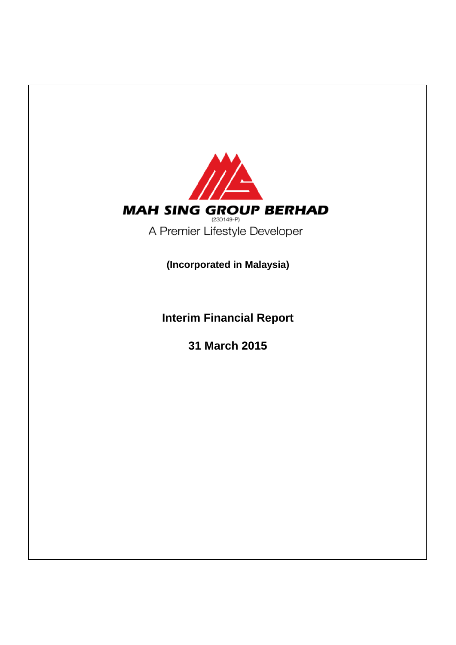

**Interim Financial Report**

**31 March 2015**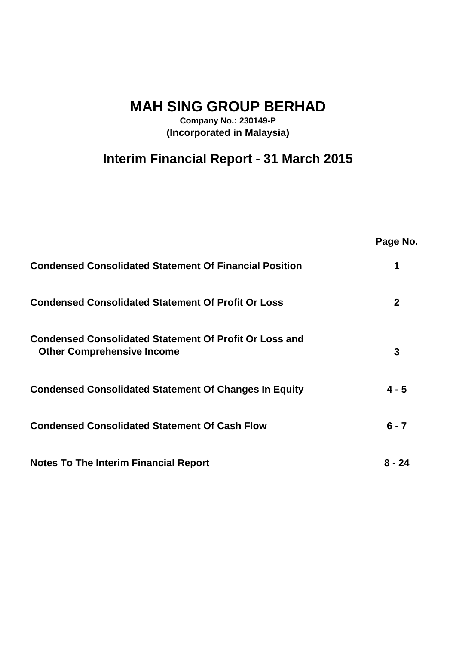**MAH SING GROUP BERHAD**

**Company No.: 230149-P (Incorporated in Malaysia)**

# **Interim Financial Report - 31 March 2015**

|                                                                                                    | Page No.     |
|----------------------------------------------------------------------------------------------------|--------------|
| <b>Condensed Consolidated Statement Of Financial Position</b>                                      | 1            |
| <b>Condensed Consolidated Statement Of Profit Or Loss</b>                                          | $\mathbf{2}$ |
| <b>Condensed Consolidated Statement Of Profit Or Loss and</b><br><b>Other Comprehensive Income</b> | 3            |
| <b>Condensed Consolidated Statement Of Changes In Equity</b>                                       | $4 - 5$      |
| <b>Condensed Consolidated Statement Of Cash Flow</b>                                               | $6 - 7$      |
| <b>Notes To The Interim Financial Report</b>                                                       | 8 - 24       |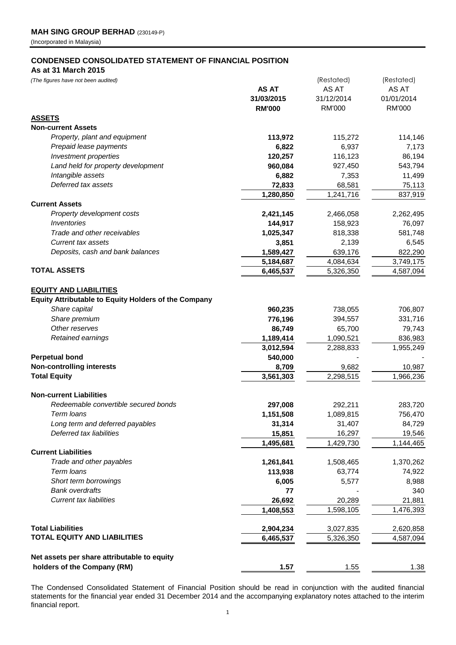#### **CONDENSED CONSOLIDATED STATEMENT OF FINANCIAL POSITION**

#### **As at 31 March 2015**

| (The figures have not been audited)                         |               | (Restated)    | (Restated)    |
|-------------------------------------------------------------|---------------|---------------|---------------|
|                                                             | <b>AS AT</b>  | AS AT         | AS AT         |
|                                                             | 31/03/2015    | 31/12/2014    | 01/01/2014    |
|                                                             | <b>RM'000</b> | <b>RM'000</b> | <b>RM'000</b> |
| <b>ASSETS</b>                                               |               |               |               |
| <b>Non-current Assets</b>                                   |               |               |               |
| Property, plant and equipment                               | 113,972       | 115,272       | 114,146       |
| Prepaid lease payments                                      | 6,822         | 6,937         | 7,173         |
| Investment properties                                       | 120,257       | 116,123       | 86,194        |
| Land held for property development                          | 960,084       | 927,450       | 543,794       |
| Intangible assets                                           | 6,882         | 7,353         | 11,499        |
| Deferred tax assets                                         | 72,833        | 68,581        | 75,113        |
|                                                             | 1,280,850     | 1,241,716     | 837,919       |
| <b>Current Assets</b>                                       |               |               |               |
| Property development costs                                  | 2,421,145     | 2,466,058     | 2,262,495     |
| Inventories                                                 | 144,917       | 158,923       | 76,097        |
| Trade and other receivables                                 | 1,025,347     | 818,338       | 581,748       |
| <b>Current tax assets</b>                                   | 3,851         | 2,139         | 6,545         |
| Deposits, cash and bank balances                            | 1,589,427     | 639,176       | 822,290       |
|                                                             | 5,184,687     | 4,084,634     | 3,749,175     |
| <b>TOTAL ASSETS</b>                                         | 6,465,537     | 5,326,350     | 4,587,094     |
|                                                             |               |               |               |
| <b>EQUITY AND LIABILITIES</b>                               |               |               |               |
| <b>Equity Attributable to Equity Holders of the Company</b> |               |               |               |
| Share capital                                               | 960,235       | 738,055       | 706,807       |
| Share premium                                               | 776,196       | 394,557       | 331,716       |
| Other reserves                                              | 86,749        | 65,700        | 79,743        |
| Retained earnings                                           | 1,189,414     | 1,090,521     | 836,983       |
|                                                             | 3,012,594     | 2,288,833     | 1,955,249     |
| <b>Perpetual bond</b>                                       | 540,000       |               |               |
| <b>Non-controlling interests</b>                            | 8,709         | 9,682         | 10,987        |
| <b>Total Equity</b>                                         | 3,561,303     | 2,298,515     | 1,966,236     |
|                                                             |               |               |               |
| <b>Non-current Liabilities</b>                              |               |               |               |
| Redeemable convertible secured bonds                        | 297,008       | 292,211       | 283,720       |
| Term Ioans                                                  | 1,151,508     | 1,089,815     | 756,470       |
| Long term and deferred payables                             | 31,314        | 31,407        | 84,729        |
| Deferred tax liabilities                                    | 15,851        | 16,297        | 19,546        |
|                                                             | 1,495,681     | 1,429,730     | 1,144,465     |
| <b>Current Liabilities</b>                                  |               |               |               |
| Trade and other payables                                    | 1,261,841     | 1,508,465     | 1,370,262     |
| Term loans                                                  | 113,938       | 63,774        | 74,922        |
| Short term borrowings                                       | 6,005         | 5,577         | 8,988         |
| <b>Bank overdrafts</b>                                      | 77            |               | 340           |
| <b>Current tax liabilities</b>                              | 26,692        | 20,289        | 21,881        |
|                                                             | 1,408,553     | 1,598,105     | 1,476,393     |
|                                                             |               |               |               |
| <b>Total Liabilities</b>                                    | 2,904,234     | 3,027,835     | 2,620,858     |
| <b>TOTAL EQUITY AND LIABILITIES</b>                         | 6,465,537     | 5,326,350     | 4,587,094     |
|                                                             |               |               |               |
| Net assets per share attributable to equity                 |               |               |               |
| holders of the Company (RM)                                 | 1.57          | 1.55          | 1.38          |

The Condensed Consolidated Statement of Financial Position should be read in conjunction with the audited financial statements for the financial year ended 31 December 2014 and the accompanying explanatory notes attached to the interim financial report.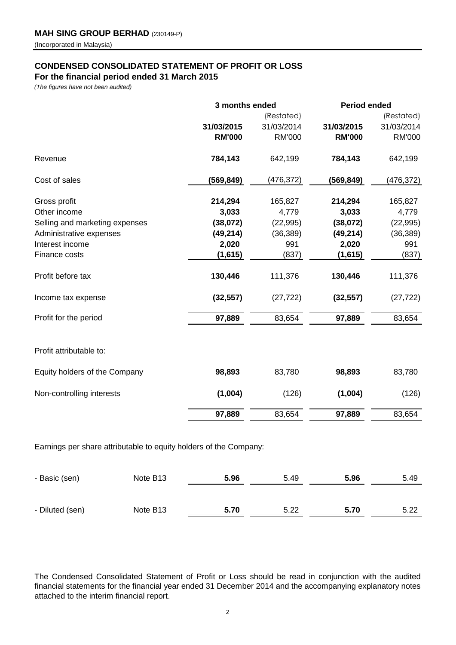## **CONDENSED CONSOLIDATED STATEMENT OF PROFIT OR LOSS**

**For the financial period ended 31 March 2015**

*(The figures have not been audited)*

|                                | 3 months ended |               | <b>Period ended</b> |               |  |
|--------------------------------|----------------|---------------|---------------------|---------------|--|
|                                |                | (Restated)    |                     | (Restated)    |  |
|                                | 31/03/2015     | 31/03/2014    | 31/03/2015          | 31/03/2014    |  |
|                                | <b>RM'000</b>  | <b>RM'000</b> | <b>RM'000</b>       | <b>RM'000</b> |  |
| Revenue                        | 784,143        | 642,199       | 784,143             | 642,199       |  |
| Cost of sales                  | (569, 849)     | (476, 372)    | (569, 849)          | (476,372)     |  |
| Gross profit                   | 214,294        | 165,827       | 214,294             | 165,827       |  |
| Other income                   | 3,033          | 4,779         | 3,033               | 4,779         |  |
| Selling and marketing expenses | (38,072)       | (22, 995)     | (38,072)            | (22, 995)     |  |
| Administrative expenses        | (49, 214)      | (36, 389)     | (49, 214)           | (36, 389)     |  |
| Interest income                | 2,020          | 991           | 2,020               | 991           |  |
| Finance costs                  | (1,615)        | (837)         | (1,615)             | (837)         |  |
| Profit before tax              | 130,446        | 111,376       | 130,446             | 111,376       |  |
| Income tax expense             | (32, 557)      | (27, 722)     | (32, 557)           | (27, 722)     |  |
| Profit for the period          | 97,889         | 83,654        | 97,889              | 83,654        |  |
| Profit attributable to:        |                |               |                     |               |  |
| Equity holders of the Company  | 98,893         | 83,780        | 98,893              | 83,780        |  |
| Non-controlling interests      | (1,004)        | (126)         | (1,004)             | (126)         |  |
|                                | 97,889         | 83,654        | 97,889              | 83,654        |  |
|                                |                |               |                     |               |  |

Earnings per share attributable to equity holders of the Company:

| - Basic (sen)   | Note B <sub>13</sub> | 5.96 | 5.49 | 5.96 | 5.49 |
|-----------------|----------------------|------|------|------|------|
|                 |                      |      |      |      |      |
| - Diluted (sen) | Note B <sub>13</sub> | 5.70 | 5.22 | 5.70 | 5.22 |

The Condensed Consolidated Statement of Profit or Loss should be read in conjunction with the audited financial statements for the financial year ended 31 December 2014 and the accompanying explanatory notes attached to the interim financial report.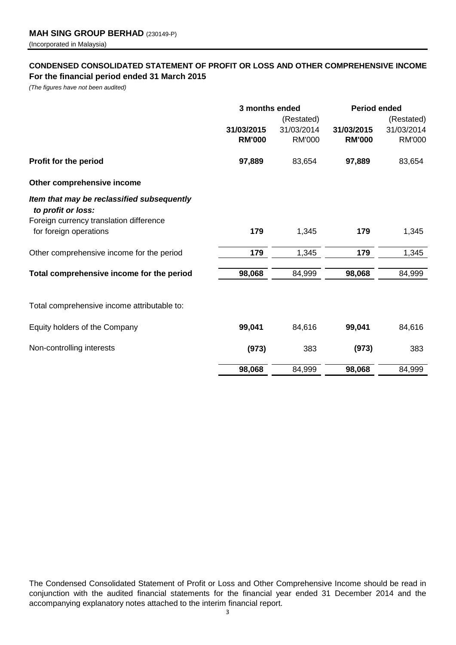### **CONDENSED CONSOLIDATED STATEMENT OF PROFIT OR LOSS AND OTHER COMPREHENSIVE INCOME For the financial period ended 31 March 2015**

*(The figures have not been audited)*

|                                                                  | 3 months ended |               | <b>Period ended</b> |               |
|------------------------------------------------------------------|----------------|---------------|---------------------|---------------|
|                                                                  |                | (Restated)    |                     | (Restated)    |
|                                                                  | 31/03/2015     | 31/03/2014    | 31/03/2015          | 31/03/2014    |
|                                                                  | <b>RM'000</b>  | <b>RM'000</b> | <b>RM'000</b>       | <b>RM'000</b> |
| Profit for the period                                            | 97,889         | 83,654        | 97,889              | 83,654        |
| Other comprehensive income                                       |                |               |                     |               |
| Item that may be reclassified subsequently<br>to profit or loss: |                |               |                     |               |
| Foreign currency translation difference                          |                |               |                     |               |
| for foreign operations                                           | 179            | 1,345         | 179                 | 1,345         |
| Other comprehensive income for the period                        | 179            | 1,345         | 179                 | 1,345         |
| Total comprehensive income for the period                        | 98,068         | 84,999        | 98,068              | 84,999        |
|                                                                  |                |               |                     |               |
| Total comprehensive income attributable to:                      |                |               |                     |               |
| Equity holders of the Company                                    | 99,041         | 84,616        | 99,041              | 84,616        |
| Non-controlling interests                                        | (973)          | 383           | (973)               | 383           |
|                                                                  | 98,068         | 84,999        | 98,068              | 84,999        |

The Condensed Consolidated Statement of Profit or Loss and Other Comprehensive Income should be read in conjunction with the audited financial statements for the financial year ended 31 December 2014 and the accompanying explanatory notes attached to the interim financial report.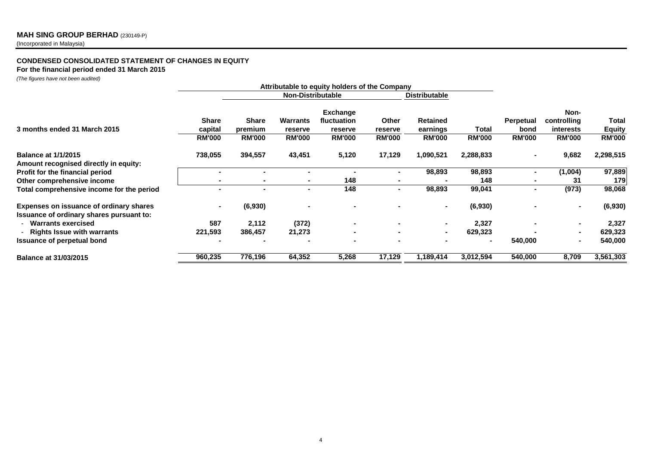#### **MAH SING GROUP BERHAD** (230149-P)

(Incorporated in Malaysia)

#### **CONDENSED CONSOLIDATED STATEMENT OF CHANGES IN EQUITY**

#### **For the financial period ended 31 March 2015**

*(The figures have not been audited)*

|                                                                                            | Attributable to equity holders of the Company |                                          |                                             |                                                            |                                   |                                              |                        |                                           |                                                          |                                         |
|--------------------------------------------------------------------------------------------|-----------------------------------------------|------------------------------------------|---------------------------------------------|------------------------------------------------------------|-----------------------------------|----------------------------------------------|------------------------|-------------------------------------------|----------------------------------------------------------|-----------------------------------------|
|                                                                                            |                                               |                                          | <b>Non-Distributable</b>                    |                                                            |                                   | <b>Distributable</b>                         |                        |                                           |                                                          |                                         |
| 3 months ended 31 March 2015                                                               | <b>Share</b><br>capital<br><b>RM'000</b>      | <b>Share</b><br>premium<br><b>RM'000</b> | <b>Warrants</b><br>reserve<br><b>RM'000</b> | <b>Exchange</b><br>fluctuation<br>reserve<br><b>RM'000</b> | Other<br>reserve<br><b>RM'000</b> | <b>Retained</b><br>earnings<br><b>RM'000</b> | Total<br><b>RM'000</b> | <b>Perpetual</b><br>bond<br><b>RM'000</b> | Non-<br>controlling<br><b>interests</b><br><b>RM'000</b> | Total<br><b>Equity</b><br><b>RM'000</b> |
| <b>Balance at 1/1/2015</b><br>Amount recognised directly in equity:                        | 738,055                                       | 394,557                                  | 43,451                                      | 5,120                                                      | 17,129                            | 1,090,521                                    | 2,288,833              | $\blacksquare$                            | 9,682                                                    | 2,298,515                               |
| Profit for the financial period                                                            |                                               |                                          |                                             |                                                            |                                   | 98,893                                       | 98,893                 |                                           | (1,004)                                                  | 97,889                                  |
| Other comprehensive income                                                                 |                                               |                                          |                                             | 148                                                        |                                   |                                              | 148                    |                                           | 31                                                       | 179                                     |
| Total comprehensive income for the period                                                  |                                               |                                          |                                             | 148                                                        |                                   | 98,893                                       | 99,041                 |                                           | (973)                                                    | 98,068                                  |
| <b>Expenses on issuance of ordinary shares</b><br>Issuance of ordinary shares pursuant to: |                                               | (6,930)                                  |                                             |                                                            |                                   |                                              | (6,930)                |                                           |                                                          | (6,930)                                 |
| - Warrants exercised                                                                       | 587                                           | 2,112                                    | (372)                                       |                                                            |                                   |                                              | 2,327                  |                                           |                                                          | 2,327                                   |
| - Rights Issue with warrants                                                               | 221,593                                       | 386,457                                  | 21,273                                      |                                                            |                                   |                                              | 629,323                |                                           |                                                          | 629,323                                 |
| <b>Issuance of perpetual bond</b>                                                          |                                               |                                          |                                             |                                                            |                                   |                                              | $\blacksquare$         | 540,000                                   |                                                          | 540,000                                 |
| <b>Balance at 31/03/2015</b>                                                               | 960,235                                       | 776,196                                  | 64,352                                      | 5,268                                                      | 17,129                            | 1,189,414                                    | 3,012,594              | 540,000                                   | 8,709                                                    | 3,561,303                               |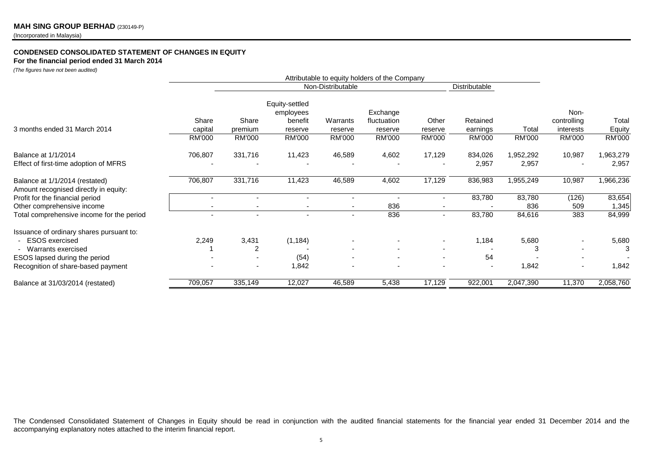#### **CONDENSED CONSOLIDATED STATEMENT OF CHANGES IN EQUITY**

**For the financial period ended 31 March 2014**

*(The figures have not been audited)*

|                                           | Attributable to equity holders of the Company |                   |                |          |               |                          |               |               |             |           |
|-------------------------------------------|-----------------------------------------------|-------------------|----------------|----------|---------------|--------------------------|---------------|---------------|-------------|-----------|
|                                           |                                               | Non-Distributable |                |          | Distributable |                          |               |               |             |           |
|                                           |                                               |                   | Equity-settled |          |               |                          |               |               |             |           |
|                                           |                                               |                   | employees      |          | Exchange      |                          |               |               | Non-        |           |
|                                           | Share                                         | Share             | benefit        | Warrants | fluctuation   | Other                    | Retained      |               | controlling | Total     |
| 3 months ended 31 March 2014              | capital                                       | premium           | reserve        | reserve  | reserve       | reserve                  | earnings      | Total         | interests   | Equity    |
|                                           | <b>RM'000</b>                                 | <b>RM'000</b>     | <b>RM'000</b>  | RM'000   | RM'000        | RM'000                   | <b>RM'000</b> | <b>RM'000</b> | RM'000      | RM'000    |
| Balance at 1/1/2014                       | 706,807                                       | 331,716           | 11,423         | 46,589   | 4,602         | 17,129                   | 834,026       | 1,952,292     | 10,987      | 1,963,279 |
| Effect of first-time adoption of MFRS     |                                               |                   |                |          |               |                          | 2,957         | 2,957         |             | 2,957     |
| Balance at 1/1/2014 (restated)            | 706,807                                       | 331,716           | 11,423         | 46,589   | 4,602         | 17,129                   | 836,983       | 1,955,249     | 10,987      | 1,966,236 |
| Amount recognised directly in equity:     |                                               |                   |                |          |               |                          |               |               |             |           |
| Profit for the financial period           |                                               |                   |                |          |               |                          | 83,780        | 83,780        | (126)       | 83,654    |
| Other comprehensive income                |                                               |                   |                |          | 836           |                          |               | 836           | 509         | 1,345     |
| Total comprehensive income for the period |                                               |                   |                |          | 836           | $\overline{\phantom{0}}$ | 83,780        | 84,616        | 383         | 84,999    |
| Issuance of ordinary shares pursuant to:  |                                               |                   |                |          |               |                          |               |               |             |           |
| <b>ESOS</b> exercised                     | 2,249                                         | 3,431             | (1, 184)       |          |               | $\overline{\phantom{a}}$ | 1,184         | 5,680         |             | 5,680     |
| - Warrants exercised                      |                                               | 2                 |                |          |               |                          |               |               |             |           |
| ESOS lapsed during the period             |                                               |                   | (54)           |          |               | $\overline{\phantom{a}}$ | 54            |               |             |           |
| Recognition of share-based payment        |                                               |                   | 1,842          |          |               |                          |               | 1,842         |             | 1,842     |
| Balance at 31/03/2014 (restated)          | 709,057                                       | 335,149           | 12,027         | 46,589   | 5,438         | 17,129                   | 922,001       | 2,047,390     | 11,370      | 2,058,760 |

The Condensed Consolidated Statement of Changes in Equity should be read in conjunction with the audited financial statements for the financial year ended 31 December 2014 and the accompanying explanatory notes attached to the interim financial report.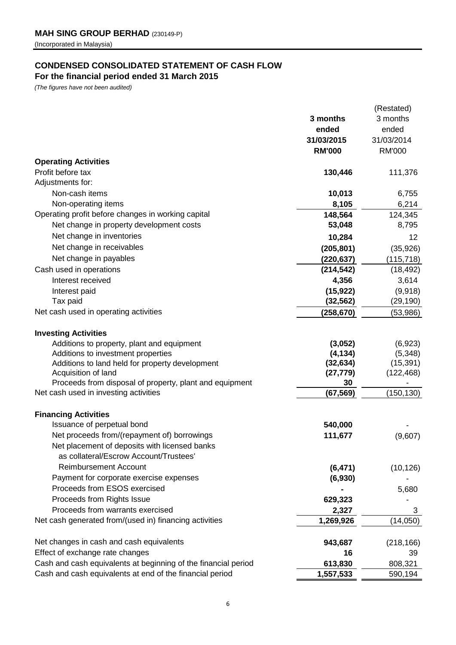## **CONDENSED CONSOLIDATED STATEMENT OF CASH FLOW**

**For the financial period ended 31 March 2015**

*(The figures have not been audited)*

|                                                                |                    | (Restated)    |
|----------------------------------------------------------------|--------------------|---------------|
|                                                                | 3 months           | 3 months      |
|                                                                | ended              | ended         |
|                                                                | 31/03/2015         | 31/03/2014    |
|                                                                | <b>RM'000</b>      | <b>RM'000</b> |
| <b>Operating Activities</b>                                    |                    |               |
| Profit before tax                                              | 130,446            | 111,376       |
| Adjustments for:                                               |                    |               |
| Non-cash items                                                 | 10,013             | 6,755         |
| Non-operating items                                            | 8,105              | 6,214         |
| Operating profit before changes in working capital             | 148,564            | 124,345       |
| Net change in property development costs                       | 53,048             | 8,795         |
| Net change in inventories                                      | 10,284             | 12            |
| Net change in receivables                                      | (205, 801)         | (35, 926)     |
| Net change in payables                                         | (220, 637)         | (115, 718)    |
| Cash used in operations                                        | (214, 542)         | (18, 492)     |
| Interest received                                              | 4,356              | 3,614         |
| Interest paid                                                  | (15, 922)          | (9,918)       |
| Tax paid                                                       | (32, 562)          | (29, 190)     |
| Net cash used in operating activities                          | (258, 670)         | (53,986)      |
|                                                                |                    |               |
| <b>Investing Activities</b>                                    |                    |               |
| Additions to property, plant and equipment                     | (3,052)            | (6,923)       |
| Additions to investment properties                             | (4, 134)           | (5, 348)      |
| Additions to land held for property development                | (32, 634)          | (15, 391)     |
| Acquisition of land                                            | (27, 779)          | (122, 468)    |
| Proceeds from disposal of property, plant and equipment        | 30                 |               |
| Net cash used in investing activities                          | (67, 569)          | (150, 130)    |
|                                                                |                    |               |
| <b>Financing Activities</b><br>Issuance of perpetual bond      | 540,000            |               |
| Net proceeds from/(repayment of) borrowings                    | 111,677            |               |
| Net placement of deposits with licensed banks                  |                    | (9,607)       |
| as collateral/Escrow Account/Trustees'                         |                    |               |
| <b>Reimbursement Account</b>                                   | (6, 471)           | (10, 126)     |
| Payment for corporate exercise expenses                        | (6,930)            |               |
| Proceeds from ESOS exercised                                   |                    | 5,680         |
| Proceeds from Rights Issue                                     | 629,323            |               |
| Proceeds from warrants exercised                               |                    |               |
| Net cash generated from/(used in) financing activities         | 2,327<br>1,269,926 | 3<br>(14,050) |
|                                                                |                    |               |
| Net changes in cash and cash equivalents                       | 943,687            | (218, 166)    |
| Effect of exchange rate changes                                | 16                 | 39            |
| Cash and cash equivalents at beginning of the financial period | 613,830            | 808,321       |
| Cash and cash equivalents at end of the financial period       | 1,557,533          | 590,194       |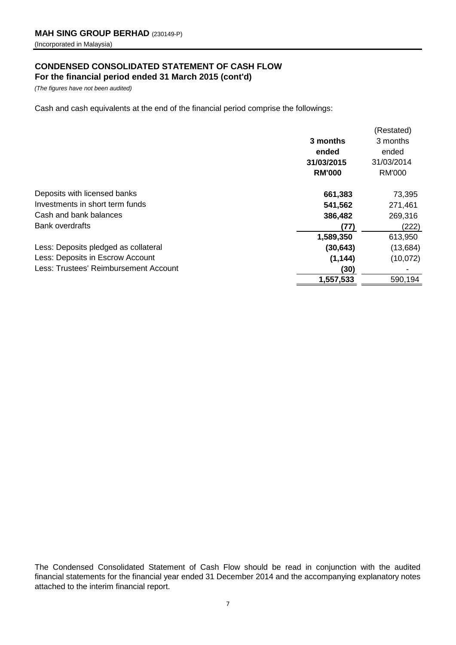### **CONDENSED CONSOLIDATED STATEMENT OF CASH FLOW For the financial period ended 31 March 2015 (cont'd)**

*(The figures have not been audited)*

Cash and cash equivalents at the end of the financial period comprise the followings:

| 3 months<br>ended<br>31/03/2015                   | 3 months<br>ended<br>31/03/2014<br><b>RM'000</b> |
|---------------------------------------------------|--------------------------------------------------|
|                                                   |                                                  |
|                                                   |                                                  |
|                                                   |                                                  |
| <b>RM'000</b>                                     |                                                  |
| Deposits with licensed banks<br>661,383           | 73,395                                           |
| Investments in short term funds<br>541,562        | 271,461                                          |
| Cash and bank balances<br>386,482                 | 269,316                                          |
| <b>Bank overdrafts</b><br>(77)                    | (222)                                            |
| 1,589,350                                         | 613,950                                          |
| Less: Deposits pledged as collateral<br>(30, 643) | (13,684)                                         |
| Less: Deposits in Escrow Account<br>(1, 144)      | (10,072)                                         |
| Less: Trustees' Reimbursement Account<br>(30)     |                                                  |
| 1,557,533                                         | 590,194                                          |

The Condensed Consolidated Statement of Cash Flow should be read in conjunction with the audited financial statements for the financial year ended 31 December 2014 and the accompanying explanatory notes attached to the interim financial report.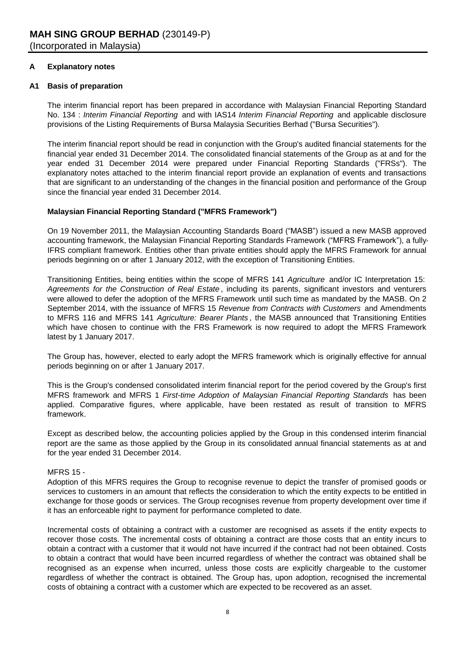#### **A Explanatory notes**

#### **A1 Basis of preparation**

The interim financial report has been prepared in accordance with Malaysian Financial Reporting Standard No. 134 : *Interim Financial Reporting* and with IAS14 *Interim Financial Reporting* and applicable disclosure provisions of the Listing Requirements of Bursa Malaysia Securities Berhad ("Bursa Securities").

The interim financial report should be read in conjunction with the Group's audited financial statements for the financial year ended 31 December 2014. The consolidated financial statements of the Group as at and for the year ended 31 December 2014 were prepared under Financial Reporting Standards ("FRSs"). The explanatory notes attached to the interim financial report provide an explanation of events and transactions that are significant to an understanding of the changes in the financial position and performance of the Group since the financial year ended 31 December 2014.

#### **Malaysian Financial Reporting Standard ("MFRS Framework")**

On 19 November 2011, the Malaysian Accounting Standards Board ("MASB") issued a new MASB approved accounting framework, the Malaysian Financial Reporting Standards Framework ("MFRS Framework"), a fully-IFRS compliant framework. Entities other than private entities should apply the MFRS Framework for annual periods beginning on or after 1 January 2012, with the exception of Transitioning Entities.

Transitioning Entities, being entities within the scope of MFRS 141 *Agriculture* and/or IC Interpretation 15: *Agreements for the Construction of Real Estate* , including its parents, significant investors and venturers were allowed to defer the adoption of the MFRS Framework until such time as mandated by the MASB. On 2 September 2014, with the issuance of MFRS 15 *Revenue from Contracts with Customers* and Amendments to MFRS 116 and MFRS 141 *Agriculture: Bearer Plants* , the MASB announced that Transitioning Entities which have chosen to continue with the FRS Framework is now required to adopt the MFRS Framework latest by 1 January 2017.

The Group has, however, elected to early adopt the MFRS framework which is originally effective for annual periods beginning on or after 1 January 2017.

This is the Group's condensed consolidated interim financial report for the period covered by the Group's first MFRS framework and MFRS 1 *First-time Adoption of Malaysian Financial Reporting Standards* has been applied. Comparative figures, where applicable, have been restated as result of transition to MFRS framework.

Except as described below, the accounting policies applied by the Group in this condensed interim financial report are the same as those applied by the Group in its consolidated annual financial statements as at and for the year ended 31 December 2014.

#### MFRS 15 -

Adoption of this MFRS requires the Group to recognise revenue to depict the transfer of promised goods or services to customers in an amount that reflects the consideration to which the entity expects to be entitled in exchange for those goods or services. The Group recognises revenue from property development over time if it has an enforceable right to payment for performance completed to date.

Incremental costs of obtaining a contract with a customer are recognised as assets if the entity expects to recover those costs. The incremental costs of obtaining a contract are those costs that an entity incurs to obtain a contract with a customer that it would not have incurred if the contract had not been obtained. Costs to obtain a contract that would have been incurred regardless of whether the contract was obtained shall be recognised as an expense when incurred, unless those costs are explicitly chargeable to the customer regardless of whether the contract is obtained. The Group has, upon adoption, recognised the incremental costs of obtaining a contract with a customer which are expected to be recovered as an asset.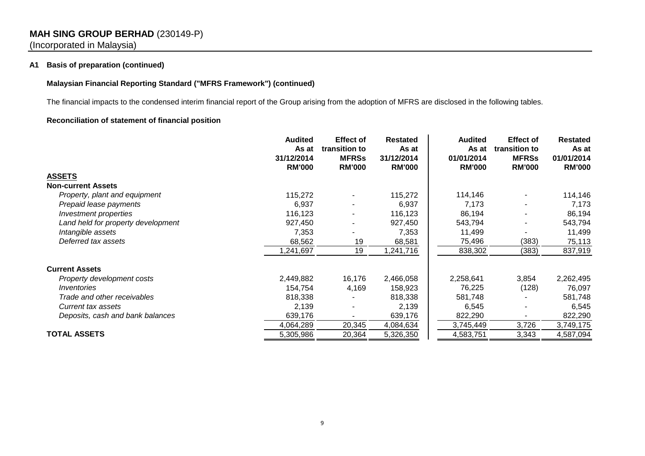### **MAH SING GROUP BERHAD** (230149-P) (Incorporated in Malaysia)

#### **A1 Basis of preparation (continued)**

#### **Malaysian Financial Reporting Standard ("MFRS Framework") (continued)**

The financial impacts to the condensed interim financial report of the Group arising from the adoption of MFRS are disclosed in the following tables.

#### **Reconciliation of statement of financial position**

|                                    | <b>Audited</b>      | <b>Effect of</b>              | <b>Restated</b>     | <b>Audited</b>      | <b>Effect of</b>              | <b>Restated</b>     |
|------------------------------------|---------------------|-------------------------------|---------------------|---------------------|-------------------------------|---------------------|
|                                    | As at<br>31/12/2014 | transition to<br><b>MFRSs</b> | As at<br>31/12/2014 | As at<br>01/01/2014 | transition to<br><b>MFRSs</b> | As at<br>01/01/2014 |
|                                    | <b>RM'000</b>       | <b>RM'000</b>                 | <b>RM'000</b>       | <b>RM'000</b>       | <b>RM'000</b>                 | <b>RM'000</b>       |
| <b>ASSETS</b>                      |                     |                               |                     |                     |                               |                     |
| <b>Non-current Assets</b>          |                     |                               |                     |                     |                               |                     |
| Property, plant and equipment      | 115,272             |                               | 115,272             | 114,146             |                               | 114,146             |
| Prepaid lease payments             | 6,937               |                               | 6,937               | 7,173               |                               | 7,173               |
| Investment properties              | 116,123             |                               | 116,123             | 86,194              |                               | 86,194              |
| Land held for property development | 927,450             |                               | 927,450             | 543,794             |                               | 543,794             |
| Intangible assets                  | 7,353               |                               | 7,353               | 11,499              |                               | 11,499              |
| Deferred tax assets                | 68,562              | 19                            | 68,581              | 75,496              | (383)                         | 75,113              |
|                                    | 1,241,697           | 19                            | 1,241,716           | 838,302             | (383)                         | 837,919             |
| <b>Current Assets</b>              |                     |                               |                     |                     |                               |                     |
| Property development costs         | 2,449,882           | 16,176                        | 2,466,058           | 2,258,641           | 3,854                         | 2,262,495           |
| <i><u><b>Inventories</b></u></i>   | 154,754             | 4,169                         | 158,923             | 76,225              | (128)                         | 76,097              |
| Trade and other receivables        | 818,338             |                               | 818,338             | 581,748             |                               | 581,748             |
| Current tax assets                 | 2,139               |                               | 2,139               | 6,545               |                               | 6,545               |
| Deposits, cash and bank balances   | 639,176             |                               | 639,176             | 822,290             |                               | 822,290             |
|                                    | 4,064,289           | 20,345                        | 4,084,634           | 3,745,449           | 3,726                         | 3,749,175           |
| <b>TOTAL ASSETS</b>                | 5,305,986           | 20,364                        | 5,326,350           | 4,583,751           | 3,343                         | 4,587,094           |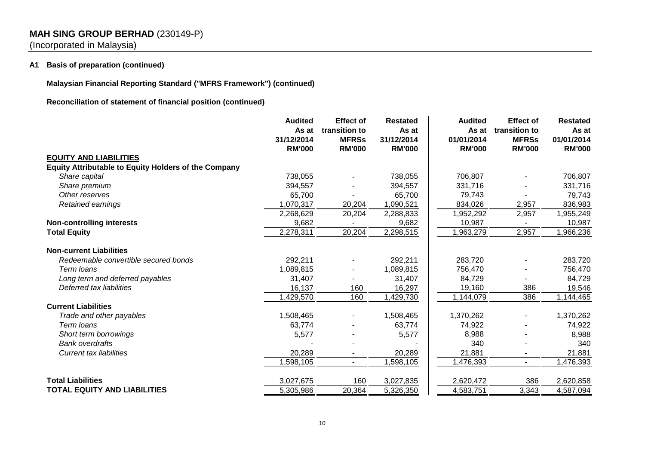## **MAH SING GROUP BERHAD** (230149-P)

(Incorporated in Malaysia)

#### **A1 Basis of preparation (continued)**

**Malaysian Financial Reporting Standard ("MFRS Framework") (continued)**

**Reconciliation of statement of financial position (continued)**

|                                                             | <b>Audited</b><br>As at<br>31/12/2014<br><b>RM'000</b> | <b>Effect of</b><br>transition to<br><b>MFRSs</b><br><b>RM'000</b> | <b>Restated</b><br>As at<br>31/12/2014<br><b>RM'000</b> | <b>Audited</b><br>As at<br>01/01/2014<br><b>RM'000</b> | <b>Effect of</b><br>transition to<br><b>MFRSs</b><br><b>RM'000</b> | <b>Restated</b><br>As at<br>01/01/2014<br><b>RM'000</b> |
|-------------------------------------------------------------|--------------------------------------------------------|--------------------------------------------------------------------|---------------------------------------------------------|--------------------------------------------------------|--------------------------------------------------------------------|---------------------------------------------------------|
| <b>EQUITY AND LIABILITIES</b>                               |                                                        |                                                                    |                                                         |                                                        |                                                                    |                                                         |
| <b>Equity Attributable to Equity Holders of the Company</b> |                                                        |                                                                    |                                                         |                                                        |                                                                    |                                                         |
| Share capital                                               | 738,055                                                |                                                                    | 738,055                                                 | 706,807                                                |                                                                    | 706,807                                                 |
| Share premium                                               | 394,557                                                |                                                                    | 394,557                                                 | 331,716                                                |                                                                    | 331,716                                                 |
| Other reserves                                              | 65,700                                                 |                                                                    | 65,700                                                  | 79,743                                                 |                                                                    | 79,743                                                  |
| Retained earnings                                           | 1,070,317                                              | 20,204                                                             | 1,090,521                                               | 834,026                                                | 2,957                                                              | 836,983                                                 |
|                                                             | 2,268,629                                              | 20,204                                                             | 2,288,833                                               | 1,952,292                                              | 2,957                                                              | 1,955,249                                               |
| <b>Non-controlling interests</b>                            | 9,682                                                  |                                                                    | 9,682                                                   | 10,987                                                 |                                                                    | 10,987                                                  |
| <b>Total Equity</b>                                         | 2,278,311                                              | 20,204                                                             | 2,298,515                                               | 1,963,279                                              | 2,957                                                              | 1,966,236                                               |
| <b>Non-current Liabilities</b>                              |                                                        |                                                                    |                                                         |                                                        |                                                                    |                                                         |
| Redeemable convertible secured bonds                        | 292,211                                                |                                                                    | 292,211                                                 | 283,720                                                |                                                                    | 283,720                                                 |
| Term loans                                                  | 1,089,815                                              |                                                                    | 1,089,815                                               | 756,470                                                |                                                                    | 756,470                                                 |
| Long term and deferred payables                             | 31,407                                                 |                                                                    | 31,407                                                  | 84,729                                                 |                                                                    | 84,729                                                  |
| Deferred tax liabilities                                    | 16,137                                                 | 160                                                                | 16,297                                                  | 19,160                                                 | 386                                                                | 19,546                                                  |
|                                                             | 1,429,570                                              | 160                                                                | 1,429,730                                               | 1,144,079                                              | 386                                                                | 1,144,465                                               |
| <b>Current Liabilities</b>                                  |                                                        |                                                                    |                                                         |                                                        |                                                                    |                                                         |
| Trade and other payables                                    | 1,508,465                                              |                                                                    | 1,508,465                                               | 1,370,262                                              |                                                                    | 1,370,262                                               |
| Term loans                                                  | 63,774                                                 |                                                                    | 63,774                                                  | 74,922                                                 |                                                                    | 74,922                                                  |
| Short term borrowings                                       | 5,577                                                  |                                                                    | 5,577                                                   | 8,988                                                  |                                                                    | 8,988                                                   |
| <b>Bank overdrafts</b>                                      |                                                        |                                                                    |                                                         | 340                                                    |                                                                    | 340                                                     |
| Current tax liabilities                                     | 20,289                                                 |                                                                    | 20,289                                                  | 21,881                                                 |                                                                    | 21,881                                                  |
|                                                             | 598,105                                                | $\blacksquare$                                                     | 1,598,105                                               | 1,476,393                                              | $\blacksquare$                                                     | 1,476,393                                               |
| <b>Total Liabilities</b>                                    | 3,027,675                                              | 160                                                                | 3,027,835                                               | 2,620,472                                              | 386                                                                | 2,620,858                                               |
| <b>TOTAL EQUITY AND LIABILITIES</b>                         | 5,305,986                                              | 20,364                                                             | 5,326,350                                               | 4,583,751                                              | 3,343                                                              | 4,587,094                                               |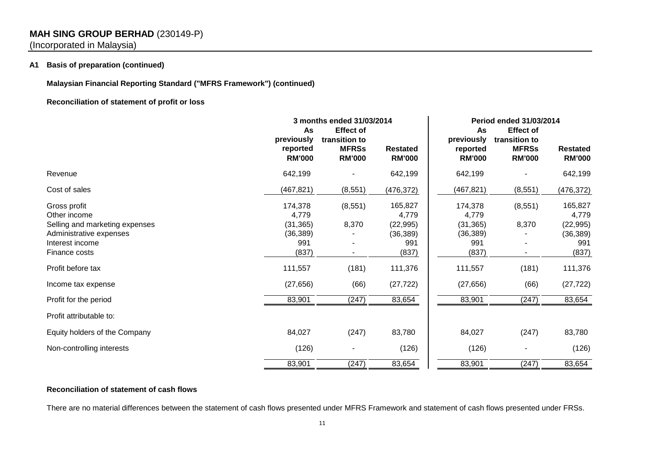## **MAH SING GROUP BERHAD** (230149-P)

(Incorporated in Malaysia)

#### **A1 Basis of preparation (continued)**

**Malaysian Financial Reporting Standard ("MFRS Framework") (continued)**

#### **Reconciliation of statement of profit or loss**

|                                                                                                                               | As<br>previously                                           | 3 months ended 31/03/2014<br><b>Effect of</b><br>transition to |                                                            | As<br>previously                                           | <b>Period ended 31/03/2014</b><br><b>Effect of</b><br>transition to |                                                            |
|-------------------------------------------------------------------------------------------------------------------------------|------------------------------------------------------------|----------------------------------------------------------------|------------------------------------------------------------|------------------------------------------------------------|---------------------------------------------------------------------|------------------------------------------------------------|
|                                                                                                                               | reported<br><b>RM'000</b>                                  | <b>MFRSs</b><br><b>RM'000</b>                                  | <b>Restated</b><br><b>RM'000</b>                           | reported<br><b>RM'000</b>                                  | <b>MFRSs</b><br><b>RM'000</b>                                       | <b>Restated</b><br><b>RM'000</b>                           |
| Revenue                                                                                                                       | 642,199                                                    |                                                                | 642,199                                                    | 642,199                                                    |                                                                     | 642,199                                                    |
| Cost of sales                                                                                                                 | (467, 821)                                                 | (8, 551)                                                       | (476, 372)                                                 | (467, 821)                                                 | (8, 551)                                                            | (476, 372)                                                 |
| Gross profit<br>Other income<br>Selling and marketing expenses<br>Administrative expenses<br>Interest income<br>Finance costs | 174,378<br>4,779<br>(31, 365)<br>(36, 389)<br>991<br>(837) | (8, 551)<br>8,370                                              | 165,827<br>4,779<br>(22, 995)<br>(36, 389)<br>991<br>(837) | 174,378<br>4,779<br>(31, 365)<br>(36, 389)<br>991<br>(837) | (8, 551)<br>8,370                                                   | 165,827<br>4,779<br>(22, 995)<br>(36, 389)<br>991<br>(837) |
| Profit before tax                                                                                                             | 111,557                                                    | (181)                                                          | 111,376                                                    | 111,557                                                    | (181)                                                               | 111,376                                                    |
| Income tax expense                                                                                                            | (27, 656)                                                  | (66)                                                           | (27, 722)                                                  | (27, 656)                                                  | (66)                                                                | (27, 722)                                                  |
| Profit for the period                                                                                                         | 83,901                                                     | (247)                                                          | 83,654                                                     | 83,901                                                     | (247)                                                               | 83,654                                                     |
| Profit attributable to:                                                                                                       |                                                            |                                                                |                                                            |                                                            |                                                                     |                                                            |
| Equity holders of the Company                                                                                                 | 84,027                                                     | (247)                                                          | 83,780                                                     | 84,027                                                     | (247)                                                               | 83,780                                                     |
| Non-controlling interests                                                                                                     | (126)                                                      |                                                                | (126)                                                      | (126)                                                      |                                                                     | (126)                                                      |
|                                                                                                                               | 83,901                                                     | (247)                                                          | 83,654                                                     | 83,901                                                     | (247)                                                               | 83,654                                                     |

### **Reconciliation of statement of cash flows**

There are no material differences between the statement of cash flows presented under MFRS Framework and statement of cash flows presented under FRSs.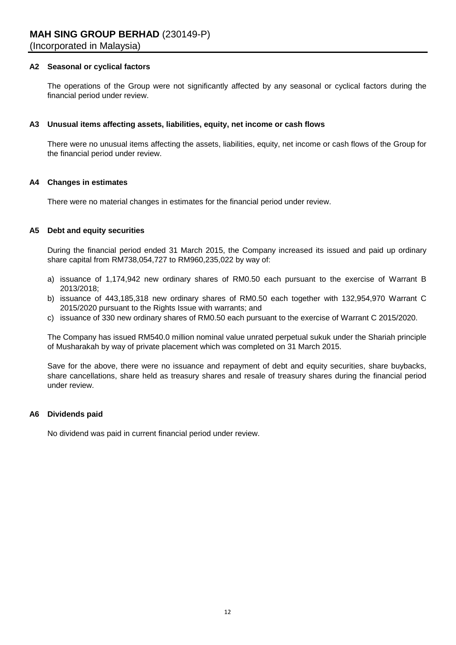#### **A2 Seasonal or cyclical factors**

The operations of the Group were not significantly affected by any seasonal or cyclical factors during the financial period under review.

#### **A3 Unusual items affecting assets, liabilities, equity, net income or cash flows**

There were no unusual items affecting the assets, liabilities, equity, net income or cash flows of the Group for the financial period under review.

#### **A4 Changes in estimates**

There were no material changes in estimates for the financial period under review.

#### **A5 Debt and equity securities**

During the financial period ended 31 March 2015, the Company increased its issued and paid up ordinary share capital from RM738,054,727 to RM960,235,022 by way of:

- a) issuance of 1,174,942 new ordinary shares of RM0.50 each pursuant to the exercise of Warrant B 2013/2018;
- b) issuance of 443,185,318 new ordinary shares of RM0.50 each together with 132,954,970 Warrant C 2015/2020 pursuant to the Rights Issue with warrants; and
- c) issuance of 330 new ordinary shares of RM0.50 each pursuant to the exercise of Warrant C 2015/2020.

The Company has issued RM540.0 million nominal value unrated perpetual sukuk under the Shariah principle of Musharakah by way of private placement which was completed on 31 March 2015.

Save for the above, there were no issuance and repayment of debt and equity securities, share buybacks, share cancellations, share held as treasury shares and resale of treasury shares during the financial period under review.

#### **A6 Dividends paid**

No dividend was paid in current financial period under review.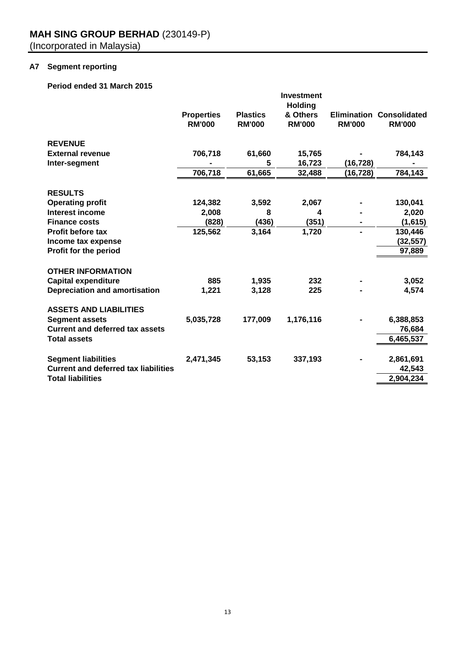## **A7 Segment reporting**

### **Period ended 31 March 2015**

|                                             |                                    |                                  | <b>Investment</b>                           |               |                                                  |
|---------------------------------------------|------------------------------------|----------------------------------|---------------------------------------------|---------------|--------------------------------------------------|
|                                             | <b>Properties</b><br><b>RM'000</b> | <b>Plastics</b><br><b>RM'000</b> | <b>Holding</b><br>& Others<br><b>RM'000</b> | <b>RM'000</b> | <b>Elimination Consolidated</b><br><b>RM'000</b> |
| <b>REVENUE</b>                              |                                    |                                  |                                             |               |                                                  |
| <b>External revenue</b>                     | 706,718                            | 61,660                           | 15,765                                      |               | 784,143                                          |
| Inter-segment                               |                                    | 5                                | 16,723                                      | (16,728)      |                                                  |
|                                             | 706,718                            | 61,665                           | 32,488                                      | (16, 728)     | 784,143                                          |
| <b>RESULTS</b>                              |                                    |                                  |                                             |               |                                                  |
| <b>Operating profit</b>                     | 124,382                            | 3,592                            | 2,067                                       |               | 130,041                                          |
| Interest income                             | 2,008                              | 8                                | 4                                           |               | 2,020                                            |
| <b>Finance costs</b>                        | (828)                              | (436)                            | (351)                                       |               | (1,615)                                          |
| <b>Profit before tax</b>                    | 125,562                            | 3,164                            | 1,720                                       | -             | 130,446                                          |
| Income tax expense                          |                                    |                                  |                                             |               | (32, 557)                                        |
| Profit for the period                       |                                    |                                  |                                             |               | 97,889                                           |
| <b>OTHER INFORMATION</b>                    |                                    |                                  |                                             |               |                                                  |
| <b>Capital expenditure</b>                  | 885                                | 1,935                            | 232                                         |               | 3,052                                            |
| <b>Depreciation and amortisation</b>        | 1,221                              | 3,128                            | 225                                         |               | 4,574                                            |
| <b>ASSETS AND LIABILITIES</b>               |                                    |                                  |                                             |               |                                                  |
| <b>Segment assets</b>                       | 5,035,728                          | 177,009                          | 1,176,116                                   |               | 6,388,853                                        |
| <b>Current and deferred tax assets</b>      |                                    |                                  |                                             |               | 76,684                                           |
| <b>Total assets</b>                         |                                    |                                  |                                             |               | 6,465,537                                        |
|                                             |                                    |                                  |                                             |               |                                                  |
| <b>Segment liabilities</b>                  | 2,471,345                          | 53,153                           | 337,193                                     |               | 2,861,691                                        |
| <b>Current and deferred tax liabilities</b> |                                    |                                  |                                             |               | 42,543                                           |
| <b>Total liabilities</b>                    |                                    |                                  |                                             |               | 2,904,234                                        |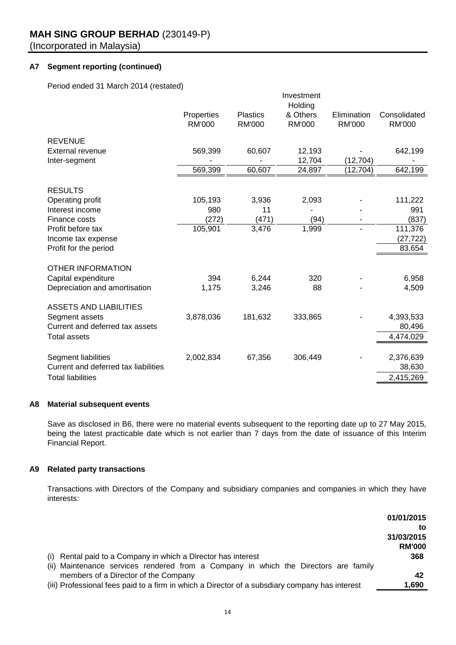### **A7 Segment reporting (continued)**

Period ended 31 March 2014 (restated)

|                                      |                             |                                  | Investment<br>Holding     |                              |                               |
|--------------------------------------|-----------------------------|----------------------------------|---------------------------|------------------------------|-------------------------------|
|                                      | Properties<br><b>RM'000</b> | <b>Plastics</b><br><b>RM'000</b> | & Others<br><b>RM'000</b> | Elimination<br><b>RM'000</b> | Consolidated<br><b>RM'000</b> |
| <b>REVENUE</b>                       |                             |                                  |                           |                              |                               |
| External revenue                     | 569,399                     | 60,607                           | 12,193                    |                              | 642,199                       |
| Inter-segment                        |                             |                                  | 12,704                    | (12, 704)                    |                               |
|                                      | 569,399                     | 60,607                           | 24,897                    | (12,704)                     | 642,199                       |
| <b>RESULTS</b>                       |                             |                                  |                           |                              |                               |
| Operating profit                     | 105,193                     | 3,936                            | 2,093                     |                              | 111,222                       |
| Interest income                      | 980                         | 11                               |                           |                              | 991                           |
| Finance costs                        | (272)                       | (471)                            | (94)                      |                              | (837)                         |
| Profit before tax                    | 105,901                     | 3,476                            | 1,999                     |                              | 111,376                       |
| Income tax expense                   |                             |                                  |                           |                              | (27, 722)                     |
| Profit for the period                |                             |                                  |                           |                              | 83,654                        |
| <b>OTHER INFORMATION</b>             |                             |                                  |                           |                              |                               |
| Capital expenditure                  | 394                         | 6,244                            | 320                       |                              | 6,958                         |
| Depreciation and amortisation        | 1,175                       | 3,246                            | 88                        |                              | 4,509                         |
| <b>ASSETS AND LIABILITIES</b>        |                             |                                  |                           |                              |                               |
| Segment assets                       | 3,878,036                   | 181,632                          | 333,865                   |                              | 4,393,533                     |
| Current and deferred tax assets      |                             |                                  |                           |                              | 80,496                        |
| <b>Total assets</b>                  |                             |                                  |                           |                              | 4,474,029                     |
|                                      |                             |                                  |                           |                              |                               |
| Segment liabilities                  | 2,002,834                   | 67,356                           | 306,449                   |                              | 2,376,639                     |
| Current and deferred tax liabilities |                             |                                  |                           |                              | 38,630                        |
| <b>Total liabilities</b>             |                             |                                  |                           |                              | 2,415,269                     |

#### **A8 Material subsequent events**

Save as disclosed in B6, there were no material events subsequent to the reporting date up to 27 May 2015, being the latest practicable date which is not earlier than 7 days from the date of issuance of this Interim Financial Report.

#### **A9 Related party transactions**

Transactions with Directors of the Company and subsidiary companies and companies in which they have interests:

|                                                                                                | 01/01/2015    |
|------------------------------------------------------------------------------------------------|---------------|
|                                                                                                | to            |
|                                                                                                | 31/03/2015    |
|                                                                                                | <b>RM'000</b> |
| (i) Rental paid to a Company in which a Director has interest                                  | 368           |
| (ii) Maintenance services rendered from a Company in which the Directors are family            |               |
| members of a Director of the Company                                                           | 42            |
| (iii) Professional fees paid to a firm in which a Director of a subsdiary company has interest | 1,690         |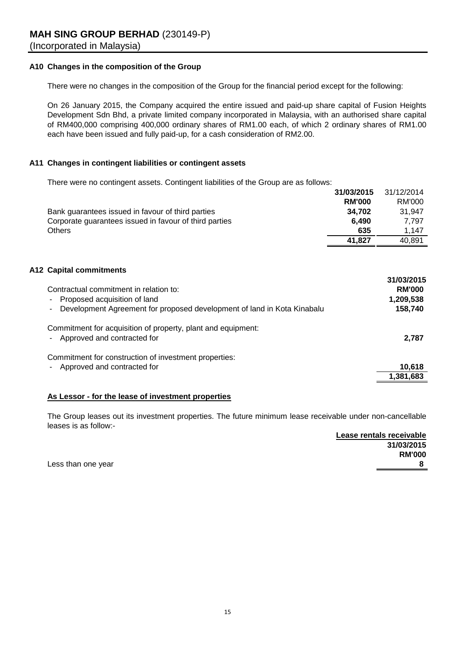### **A10 Changes in the composition of the Group**

There were no changes in the composition of the Group for the financial period except for the following:

On 26 January 2015, the Company acquired the entire issued and paid-up share capital of Fusion Heights Development Sdn Bhd, a private limited company incorporated in Malaysia, with an authorised share capital of RM400,000 comprising 400,000 ordinary shares of RM1.00 each, of which 2 ordinary shares of RM1.00 each have been issued and fully paid-up, for a cash consideration of RM2.00.

#### **A11 Changes in contingent liabilities or contingent assets**

There were no contingent assets. Contingent liabilities of the Group are as follows: **31/03/2015** 31/12/2014

|                                                                                                                                                                                     | 3 17037 ZU I 3 | J1122014                                            |
|-------------------------------------------------------------------------------------------------------------------------------------------------------------------------------------|----------------|-----------------------------------------------------|
|                                                                                                                                                                                     | <b>RM'000</b>  | RM'000                                              |
| Bank guarantees issued in favour of third parties                                                                                                                                   | 34,702         | 31,947                                              |
| Corporate guarantees issued in favour of third parties                                                                                                                              | 6,490          | 7,797                                               |
| <b>Others</b>                                                                                                                                                                       | 635            | 1,147                                               |
|                                                                                                                                                                                     | 41,827         | 40,891                                              |
| <b>A12 Capital commitments</b><br>Contractual commitment in relation to:<br>Proposed acquisition of land<br>Development Agreement for proposed development of land in Kota Kinabalu |                | 31/03/2015<br><b>RM'000</b><br>1,209,538<br>158,740 |
| Commitment for acquisition of property, plant and equipment:<br>Approved and contracted for                                                                                         |                | 2,787                                               |
| Commitment for construction of investment properties:                                                                                                                               |                |                                                     |
| Approved and contracted for                                                                                                                                                         |                | 10,618                                              |
|                                                                                                                                                                                     |                | 1,381,683                                           |
|                                                                                                                                                                                     |                |                                                     |

#### **As Lessor - for the lease of investment properties**

The Group leases out its investment properties. The future minimum lease receivable under non-cancellable leases is as follow:-

**Lease rentals receivable 31/03/2015 RM'000** Less than one year **8**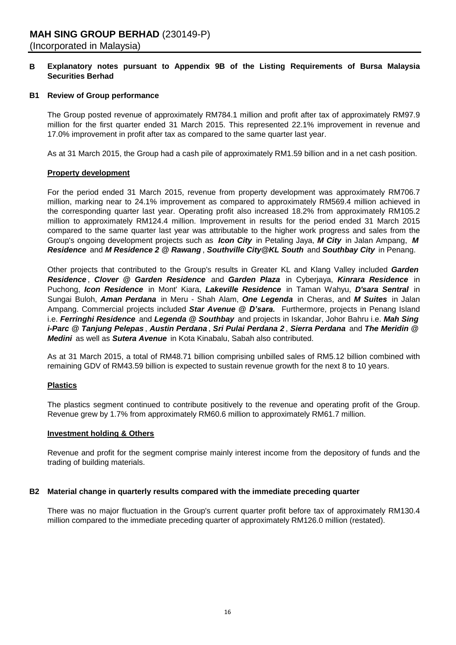#### **B Explanatory notes pursuant to Appendix 9B of the Listing Requirements of Bursa Malaysia Securities Berhad**

#### **B1 Review of Group performance**

The Group posted revenue of approximately RM784.1 million and profit after tax of approximately RM97.9 million for the first quarter ended 31 March 2015. This represented 22.1% improvement in revenue and 17.0% improvement in profit after tax as compared to the same quarter last year.

As at 31 March 2015, the Group had a cash pile of approximately RM1.59 billion and in a net cash position.

#### **Property development**

For the period ended 31 March 2015, revenue from property development was approximately RM706.7 million, marking near to 24.1% improvement as compared to approximately RM569.4 million achieved in the corresponding quarter last year. Operating profit also increased 18.2% from approximately RM105.2 million to approximately RM124.4 million. Improvement in results for the period ended 31 March 2015 compared to the same quarter last year was attributable to the higher work progress and sales from the Group's ongoing development projects such as *Icon City* in Petaling Jaya, *M City* in Jalan Ampang, *M Residence* and *M Residence 2 @ Rawang* , *Southville City@KL South* and *Southbay City* in Penang.

Other projects that contributed to the Group's results in Greater KL and Klang Valley included *Garden Residence* , *Clover @ Garden Residence* and *Garden Plaza* in Cyberjaya, *Kinrara Residence* in Puchong, *Icon Residence* in Mont' Kiara, *Lakeville Residence* in Taman Wahyu, *D'sara Sentral* in Sungai Buloh, *Aman Perdana* in Meru - Shah Alam, *One Legenda* in Cheras, and *M Suites* in Jalan Ampang. Commercial projects included *Star Avenue @ D'sara.* Furthermore, projects in Penang Island i.e. *Ferringhi Residence* and *Legenda @ Southbay* and projects in Iskandar, Johor Bahru i.e. *Mah Sing i-Parc @ Tanjung Pelepas* , *Austin Perdana* , *Sri Pulai Perdana 2* , *Sierra Perdana* and *The Meridin @ Medini* as well as *Sutera Avenue* in Kota Kinabalu, Sabah also contributed.

As at 31 March 2015, a total of RM48.71 billion comprising unbilled sales of RM5.12 billion combined with remaining GDV of RM43.59 billion is expected to sustain revenue growth for the next 8 to 10 years.

#### **Plastics**

The plastics segment continued to contribute positively to the revenue and operating profit of the Group. Revenue grew by 1.7% from approximately RM60.6 million to approximately RM61.7 million.

#### **Investment holding & Others**

Revenue and profit for the segment comprise mainly interest income from the depository of funds and the trading of building materials.

#### **B2 Material change in quarterly results compared with the immediate preceding quarter**

There was no major fluctuation in the Group's current quarter profit before tax of approximately RM130.4 million compared to the immediate preceding quarter of approximately RM126.0 million (restated).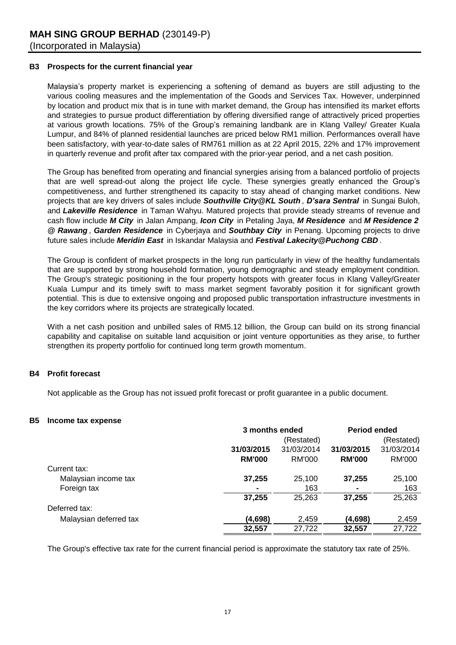#### **B3 Prospects for the current financial year**

Malaysia's property market is experiencing a softening of demand as buyers are still adjusting to the various cooling measures and the implementation of the Goods and Services Tax. However, underpinned by location and product mix that is in tune with market demand, the Group has intensified its market efforts and strategies to pursue product differentiation by offering diversified range of attractively priced properties at various growth locations. 75% of the Group's remaining landbank are in Klang Valley/ Greater Kuala Lumpur, and 84% of planned residential launches are priced below RM1 million. Performances overall have been satisfactory, with year-to-date sales of RM761 million as at 22 April 2015, 22% and 17% improvement in quarterly revenue and profit after tax compared with the prior-year period, and a net cash position.

The Group has benefited from operating and financial synergies arising from a balanced portfolio of projects that are well spread-out along the project life cycle. These synergies greatly enhanced the Group's competitiveness, and further strengthened its capacity to stay ahead of changing market conditions. New projects that are key drivers of sales include *Southville City@KL South* , *D'sara Sentral* in Sungai Buloh, and *Lakeville Residence* in Taman Wahyu. Matured projects that provide steady streams of revenue and cash flow include *M City* in Jalan Ampang, *Icon City* in Petaling Jaya, *M Residence* and *M Residence 2 @ Rawang* , *Garden Residence* in Cyberjaya and *Southbay City* in Penang. Upcoming projects to drive future sales include *Meridin East* in Iskandar Malaysia and *Festival Lakecity@Puchong CBD* .

The Group is confident of market prospects in the long run particularly in view of the healthy fundamentals that are supported by strong household formation, young demographic and steady employment condition. The Group's strategic positioning in the four property hotspots with greater focus in Klang Valley/Greater Kuala Lumpur and its timely swift to mass market segment favorably position it for significant growth potential. This is due to extensive ongoing and proposed public transportation infrastructure investments in the key corridors where its projects are strategically located.

With a net cash position and unbilled sales of RM5.12 billion, the Group can build on its strong financial capability and capitalise on suitable land acquisition or joint venture opportunities as they arise, to further strengthen its property portfolio for continued long term growth momentum.

#### **B4 Profit forecast**

Not applicable as the Group has not issued profit forecast or profit guarantee in a public document.

#### **B5 Income tax expense**

|                        | 3 months ended |            | <b>Period ended</b> |            |
|------------------------|----------------|------------|---------------------|------------|
|                        |                | (Restated) |                     | (Restated) |
|                        | 31/03/2015     | 31/03/2014 | 31/03/2015          | 31/03/2014 |
|                        | <b>RM'000</b>  | RM'000     | <b>RM'000</b>       | RM'000     |
| Current tax:           |                |            |                     |            |
| Malaysian income tax   | 37,255         | 25,100     | 37,255              | 25,100     |
| Foreign tax            | ۰              | 163        | ۰                   | 163        |
|                        | 37,255         | 25,263     | 37.255              | 25,263     |
| Deferred tax:          |                |            |                     |            |
| Malaysian deferred tax | (4,698)        | 2,459      | (4,698)             | 2,459      |
|                        | 32,557         | 27,722     | 32,557              | 27,722     |

The Group's effective tax rate for the current financial period is approximate the statutory tax rate of 25%.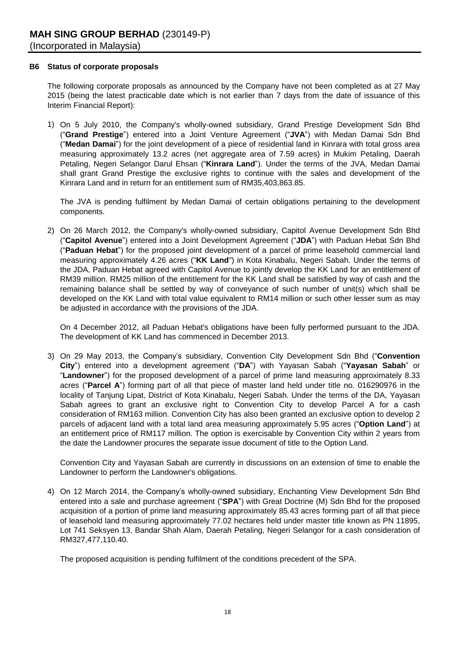#### **B6 Status of corporate proposals**

The following corporate proposals as announced by the Company have not been completed as at 27 May 2015 (being the latest practicable date which is not earlier than 7 days from the date of issuance of this Interim Financial Report):

1) On 5 July 2010, the Company's wholly-owned subsidiary, Grand Prestige Development Sdn Bhd ("**Grand Prestige**") entered into a Joint Venture Agreement ("**JVA**") with Medan Damai Sdn Bhd ("**Medan Damai**") for the joint development of a piece of residential land in Kinrara with total gross area measuring approximately 13.2 acres (net aggregate area of 7.59 acres) in Mukim Petaling, Daerah Petaling, Negeri Selangor Darul Ehsan ("**Kinrara Land**"). Under the terms of the JVA, Medan Damai shall grant Grand Prestige the exclusive rights to continue with the sales and development of the Kinrara Land and in return for an entitlement sum of RM35,403,863.85.

The JVA is pending fulfilment by Medan Damai of certain obligations pertaining to the development components.

2) On 26 March 2012, the Company's wholly-owned subsidiary, Capitol Avenue Development Sdn Bhd ("**Capitol Avenue**") entered into a Joint Development Agreement ("**JDA**") with Paduan Hebat Sdn Bhd ("**Paduan Hebat**") for the proposed joint development of a parcel of prime leasehold commercial land measuring approximately 4.26 acres ("**KK Land**") in Kota Kinabalu, Negeri Sabah. Under the terms of the JDA, Paduan Hebat agreed with Capitol Avenue to jointly develop the KK Land for an entitlement of RM39 million. RM25 million of the entitlement for the KK Land shall be satisfied by way of cash and the remaining balance shall be settled by way of conveyance of such number of unit(s) which shall be developed on the KK Land with total value equivalent to RM14 million or such other lesser sum as may be adjusted in accordance with the provisions of the JDA.

On 4 December 2012, all Paduan Hebat's obligations have been fully performed pursuant to the JDA. The development of KK Land has commenced in December 2013.

3) On 29 May 2013, the Company's subsidiary, Convention City Development Sdn Bhd ("**Convention City**") entered into a development agreement ("**DA**") with Yayasan Sabah ("**Yayasan Sabah**" or "**Landowner**") for the proposed development of a parcel of prime land measuring approximately 8.33 acres ("**Parcel A**") forming part of all that piece of master land held under title no. 016290976 in the locality of Tanjung Lipat, District of Kota Kinabalu, Negeri Sabah. Under the terms of the DA, Yayasan Sabah agrees to grant an exclusive right to Convention City to develop Parcel A for a cash consideration of RM163 million. Convention City has also been granted an exclusive option to develop 2 parcels of adjacent land with a total land area measuring approximately 5.95 acres ("**Option Land**") at an entitlement price of RM117 million. The option is exercisable by Convention City within 2 years from the date the Landowner procures the separate issue document of title to the Option Land.

Convention City and Yayasan Sabah are currently in discussions on an extension of time to enable the Landowner to perform the Landowner's obligations.

4) On 12 March 2014, the Company's wholly-owned subsidiary, Enchanting View Development Sdn Bhd entered into a sale and purchase agreement ("**SPA**") with Great Doctrine (M) Sdn Bhd for the proposed acquisition of a portion of prime land measuring approximately 85.43 acres forming part of all that piece of leasehold land measuring approximately 77.02 hectares held under master title known as PN 11895, Lot 741 Seksyen 13, Bandar Shah Alam, Daerah Petaling, Negeri Selangor for a cash consideration of RM327,477,110.40.

The proposed acquisition is pending fulfilment of the conditions precedent of the SPA.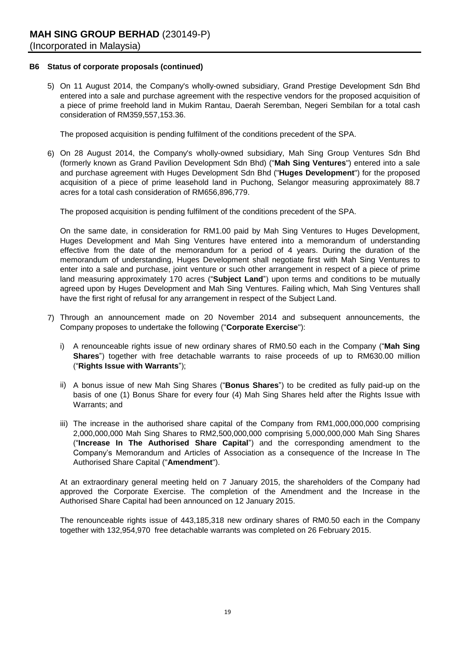#### **B6 Status of corporate proposals (continued)**

5) On 11 August 2014, the Company's wholly-owned subsidiary, Grand Prestige Development Sdn Bhd entered into a sale and purchase agreement with the respective vendors for the proposed acquisition of a piece of prime freehold land in Mukim Rantau, Daerah Seremban, Negeri Sembilan for a total cash consideration of RM359,557,153.36.

The proposed acquisition is pending fulfilment of the conditions precedent of the SPA.

6) On 28 August 2014, the Company's wholly-owned subsidiary, Mah Sing Group Ventures Sdn Bhd (formerly known as Grand Pavilion Development Sdn Bhd) ("**Mah Sing Ventures**") entered into a sale and purchase agreement with Huges Development Sdn Bhd ("**Huges Development**") for the proposed acquisition of a piece of prime leasehold land in Puchong, Selangor measuring approximately 88.7 acres for a total cash consideration of RM656,896,779.

The proposed acquisition is pending fulfilment of the conditions precedent of the SPA.

On the same date, in consideration for RM1.00 paid by Mah Sing Ventures to Huges Development, Huges Development and Mah Sing Ventures have entered into a memorandum of understanding effective from the date of the memorandum for a period of 4 years. During the duration of the memorandum of understanding, Huges Development shall negotiate first with Mah Sing Ventures to enter into a sale and purchase, joint venture or such other arrangement in respect of a piece of prime land measuring approximately 170 acres ("**Subject Land**") upon terms and conditions to be mutually agreed upon by Huges Development and Mah Sing Ventures. Failing which, Mah Sing Ventures shall have the first right of refusal for any arrangement in respect of the Subject Land.

- 7) Through an announcement made on 20 November 2014 and subsequent announcements, the Company proposes to undertake the following ("**Corporate Exercise**"):
	- i) A renounceable rights issue of new ordinary shares of RM0.50 each in the Company ("**Mah Sing Shares**") together with free detachable warrants to raise proceeds of up to RM630.00 million ("**Rights Issue with Warrants**");
	- ii) A bonus issue of new Mah Sing Shares ("**Bonus Shares**") to be credited as fully paid-up on the basis of one (1) Bonus Share for every four (4) Mah Sing Shares held after the Rights Issue with Warrants; and
	- iii) The increase in the authorised share capital of the Company from RM1,000,000,000 comprising 2,000,000,000 Mah Sing Shares to RM2,500,000,000 comprising 5,000,000,000 Mah Sing Shares ("**Increase In The Authorised Share Capital**") and the corresponding amendment to the Company's Memorandum and Articles of Association as a consequence of the Increase In The Authorised Share Capital ("**Amendment**").

At an extraordinary general meeting held on 7 January 2015, the shareholders of the Company had approved the Corporate Exercise. The completion of the Amendment and the Increase in the Authorised Share Capital had been announced on 12 January 2015.

The renounceable rights issue of 443,185,318 new ordinary shares of RM0.50 each in the Company together with 132,954,970 free detachable warrants was completed on 26 February 2015.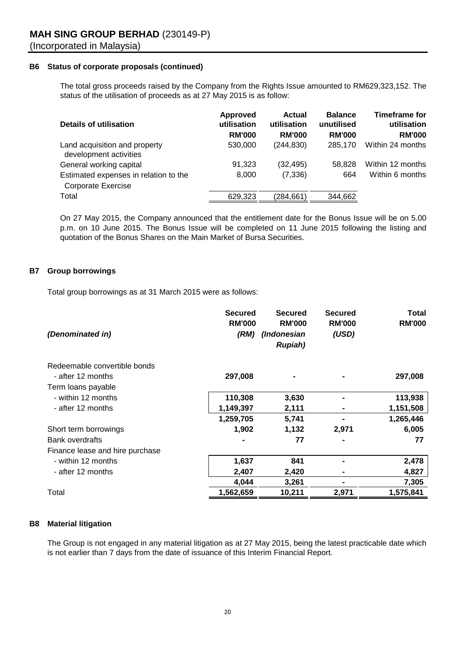#### **B6 Status of corporate proposals (continued)**

The total gross proceeds raised by the Company from the Rights Issue amounted to RM629,323,152. The status of the utilisation of proceeds as at 27 May 2015 is as follow:

| Details of utilisation                                             | <b>Approved</b><br>utilisation<br><b>RM'000</b> | <b>Actual</b><br>utilisation<br><b>RM'000</b> | <b>Balance</b><br>unutilised<br><b>RM'000</b> | <b>Timeframe for</b><br>utilisation<br><b>RM'000</b> |
|--------------------------------------------------------------------|-------------------------------------------------|-----------------------------------------------|-----------------------------------------------|------------------------------------------------------|
| Land acquisition and property<br>development activities            | 530,000                                         | (244, 830)                                    | 285,170                                       | Within 24 months                                     |
| General working capital                                            | 91,323                                          | (32, 495)                                     | 58.828                                        | Within 12 months                                     |
| Estimated expenses in relation to the<br><b>Corporate Exercise</b> | 8,000                                           | (7, 336)                                      | 664                                           | Within 6 months                                      |
| Total                                                              | 629,323                                         | (284, 661)                                    | 344,662                                       |                                                      |

On 27 May 2015, the Company announced that the entitlement date for the Bonus Issue will be on 5.00 p.m. on 10 June 2015. The Bonus Issue will be completed on 11 June 2015 following the listing and quotation of the Bonus Shares on the Main Market of Bursa Securities.

#### **B7 Group borrowings**

Total group borrowings as at 31 March 2015 were as follows:

| (Denominated in)                | <b>Secured</b><br><b>RM'000</b><br>(RM) | <b>Secured</b><br><b>RM'000</b><br>(Indonesian<br><b>Rupiah</b> ) | <b>Secured</b><br><b>RM'000</b><br>(USD) | <b>Total</b><br><b>RM'000</b> |
|---------------------------------|-----------------------------------------|-------------------------------------------------------------------|------------------------------------------|-------------------------------|
| Redeemable convertible bonds    |                                         |                                                                   |                                          |                               |
| - after 12 months               | 297,008                                 |                                                                   |                                          | 297,008                       |
| Term loans payable              |                                         |                                                                   |                                          |                               |
| - within 12 months              | 110,308                                 | 3,630                                                             |                                          | 113,938                       |
| - after 12 months               | 1,149,397                               | 2,111                                                             |                                          | 1,151,508                     |
|                                 | 1,259,705                               | 5,741                                                             |                                          | 1,265,446                     |
| Short term borrowings           | 1,902                                   | 1,132                                                             | 2,971                                    | 6,005                         |
| <b>Bank overdrafts</b>          |                                         | 77                                                                |                                          | 77                            |
| Finance lease and hire purchase |                                         |                                                                   |                                          |                               |
| - within 12 months              | 1,637                                   | 841                                                               |                                          | 2,478                         |
| - after 12 months               | 2,407                                   | 2,420                                                             |                                          | 4,827                         |
|                                 | 4,044                                   | 3,261                                                             |                                          | 7,305                         |
| Total                           | 1,562,659                               | 10,211                                                            | 2,971                                    | 1,575,841                     |

#### **B8 Material litigation**

The Group is not engaged in any material litigation as at 27 May 2015, being the latest practicable date which is not earlier than 7 days from the date of issuance of this Interim Financial Report.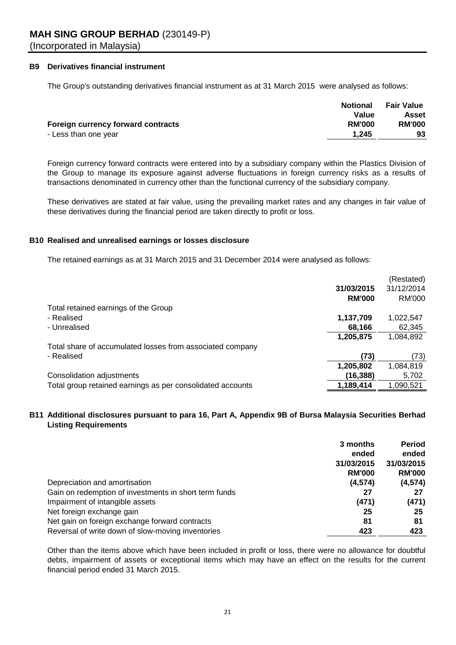#### **B9 Derivatives financial instrument**

The Group's outstanding derivatives financial instrument as at 31 March 2015 were analysed as follows:

|                                    | <b>Notional</b> | Fair Value    |
|------------------------------------|-----------------|---------------|
|                                    | Value           | Asset         |
| Foreign currency forward contracts | <b>RM'000</b>   | <b>RM'000</b> |
| - Less than one year               | 1.245           | 93            |
|                                    |                 |               |

Foreign currency forward contracts were entered into by a subsidiary company within the Plastics Division of the Group to manage its exposure against adverse fluctuations in foreign currency risks as a results of transactions denominated in currency other than the functional currency of the subsidiary company.

These derivatives are stated at fair value, using the prevailing market rates and any changes in fair value of these derivatives during the financial period are taken directly to profit or loss.

#### **B10 Realised and unrealised earnings or losses disclosure**

The retained earnings as at 31 March 2015 and 31 December 2014 were analysed as follows:

| 31/12/2014<br>31/03/2015<br>RM'000<br><b>RM'000</b><br>Total retained earnings of the Group<br>- Realised<br>1,137,709<br>1,022,547<br>- Unrealised<br>68,166<br>62,345<br>1,205,875<br>1,084,892<br>Total share of accumulated losses from associated company<br>- Realised<br>(73)<br>(73)<br>1,205,802<br>1,084,819<br>(16, 388)<br>Consolidation adjustments<br>5,702<br>Total group retained earnings as per consolidated accounts<br>1,189,414<br>1,090,521 |  | (Restated) |
|-------------------------------------------------------------------------------------------------------------------------------------------------------------------------------------------------------------------------------------------------------------------------------------------------------------------------------------------------------------------------------------------------------------------------------------------------------------------|--|------------|
|                                                                                                                                                                                                                                                                                                                                                                                                                                                                   |  |            |
|                                                                                                                                                                                                                                                                                                                                                                                                                                                                   |  |            |
|                                                                                                                                                                                                                                                                                                                                                                                                                                                                   |  |            |
|                                                                                                                                                                                                                                                                                                                                                                                                                                                                   |  |            |
|                                                                                                                                                                                                                                                                                                                                                                                                                                                                   |  |            |
|                                                                                                                                                                                                                                                                                                                                                                                                                                                                   |  |            |
|                                                                                                                                                                                                                                                                                                                                                                                                                                                                   |  |            |
|                                                                                                                                                                                                                                                                                                                                                                                                                                                                   |  |            |
|                                                                                                                                                                                                                                                                                                                                                                                                                                                                   |  |            |
|                                                                                                                                                                                                                                                                                                                                                                                                                                                                   |  |            |
|                                                                                                                                                                                                                                                                                                                                                                                                                                                                   |  |            |

#### **B11 Additional disclosures pursuant to para 16, Part A, Appendix 9B of Bursa Malaysia Securities Berhad Listing Requirements**

|                                                       | 3 months      | <b>Period</b> |
|-------------------------------------------------------|---------------|---------------|
|                                                       | ended         | ended         |
|                                                       | 31/03/2015    | 31/03/2015    |
|                                                       | <b>RM'000</b> | <b>RM'000</b> |
| Depreciation and amortisation                         | (4, 574)      | (4, 574)      |
| Gain on redemption of investments in short term funds | 27            | 27            |
| Impairment of intangible assets                       | (471)         | (471)         |
| Net foreign exchange gain                             | 25            | 25            |
| Net gain on foreign exchange forward contracts        | 81            | 81            |
| Reversal of write down of slow-moving inventories     | 423           | 423           |

Other than the items above which have been included in profit or loss, there were no allowance for doubtful debts, impairment of assets or exceptional items which may have an effect on the results for the current financial period ended 31 March 2015.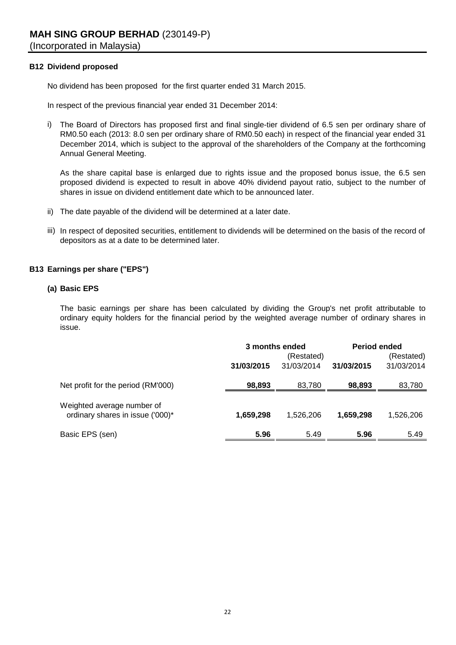#### **B12 Dividend proposed**

No dividend has been proposed for the first quarter ended 31 March 2015.

In respect of the previous financial year ended 31 December 2014:

i) The Board of Directors has proposed first and final single-tier dividend of 6.5 sen per ordinary share of RM0.50 each (2013: 8.0 sen per ordinary share of RM0.50 each) in respect of the financial year ended 31 December 2014, which is subject to the approval of the shareholders of the Company at the forthcoming Annual General Meeting.

As the share capital base is enlarged due to rights issue and the proposed bonus issue, the 6.5 sen proposed dividend is expected to result in above 40% dividend payout ratio, subject to the number of shares in issue on dividend entitlement date which to be announced later.

- ii) The date payable of the dividend will be determined at a later date.
- iii) In respect of deposited securities, entitlement to dividends will be determined on the basis of the record of depositors as at a date to be determined later.

#### **B13 Earnings per share ("EPS")**

#### **(a) Basic EPS**

The basic earnings per share has been calculated by dividing the Group's net profit attributable to ordinary equity holders for the financial period by the weighted average number of ordinary shares in issue.

|                                                                | 3 months ended<br>(Restated) |            | <b>Period ended</b><br>(Restated) |            |
|----------------------------------------------------------------|------------------------------|------------|-----------------------------------|------------|
|                                                                | 31/03/2015                   | 31/03/2014 | 31/03/2015                        | 31/03/2014 |
| Net profit for the period (RM'000)                             | 98,893                       | 83,780     | 98,893                            | 83,780     |
| Weighted average number of<br>ordinary shares in issue ('000)* | 1,659,298                    | 1.526.206  | 1,659,298                         | 1,526,206  |
| Basic EPS (sen)                                                | 5.96                         | 5.49       | 5.96                              | 5.49       |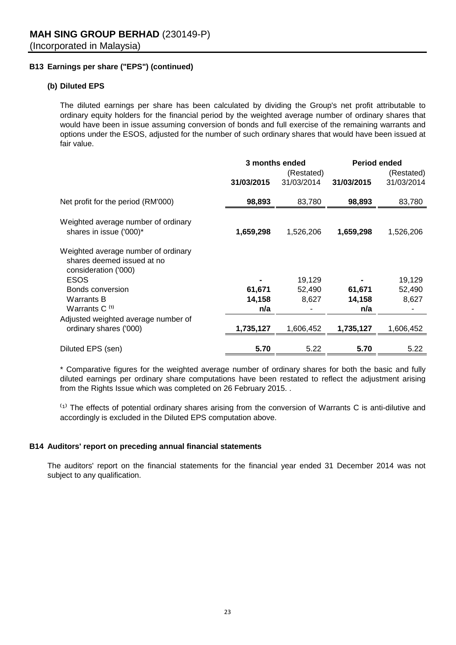### **B13 Earnings per share ("EPS") (continued)**

#### **(b) Diluted EPS**

The diluted earnings per share has been calculated by dividing the Group's net profit attributable to ordinary equity holders for the financial period by the weighted average number of ordinary shares that would have been in issue assuming conversion of bonds and full exercise of the remaining warrants and options under the ESOS, adjusted for the number of such ordinary shares that would have been issued at fair value.

|                                                                                           |            | 3 months ended | <b>Period ended</b> |            |  |
|-------------------------------------------------------------------------------------------|------------|----------------|---------------------|------------|--|
|                                                                                           |            | (Restated)     |                     | (Restated) |  |
|                                                                                           | 31/03/2015 | 31/03/2014     | 31/03/2015          | 31/03/2014 |  |
| Net profit for the period (RM'000)                                                        | 98,893     | 83,780         | 98,893              | 83,780     |  |
| Weighted average number of ordinary<br>shares in issue ('000)*                            | 1,659,298  | 1,526,206      | 1,659,298           | 1,526,206  |  |
| Weighted average number of ordinary<br>shares deemed issued at no<br>consideration ('000) |            |                |                     |            |  |
| <b>ESOS</b>                                                                               |            | 19,129         |                     | 19,129     |  |
| Bonds conversion                                                                          | 61,671     | 52,490         | 61,671              | 52,490     |  |
| <b>Warrants B</b>                                                                         | 14,158     | 8,627          | 14,158              | 8,627      |  |
| Warrants C <sup>(1)</sup>                                                                 | n/a        |                | n/a                 |            |  |
| Adjusted weighted average number of                                                       |            |                |                     |            |  |
| ordinary shares ('000)                                                                    | 1,735,127  | 1,606,452      | 1,735,127           | 1,606,452  |  |
| Diluted EPS (sen)                                                                         | 5.70       | 5.22           | 5.70                | 5.22       |  |

\* Comparative figures for the weighted average number of ordinary shares for both the basic and fully diluted earnings per ordinary share computations have been restated to reflect the adjustment arising from the Rights Issue which was completed on 26 February 2015. .

 $<sup>(1)</sup>$  The effects of potential ordinary shares arising from the conversion of Warrants C is anti-dilutive and</sup> accordingly is excluded in the Diluted EPS computation above.

#### **B14 Auditors' report on preceding annual financial statements**

The auditors' report on the financial statements for the financial year ended 31 December 2014 was not subject to any qualification.